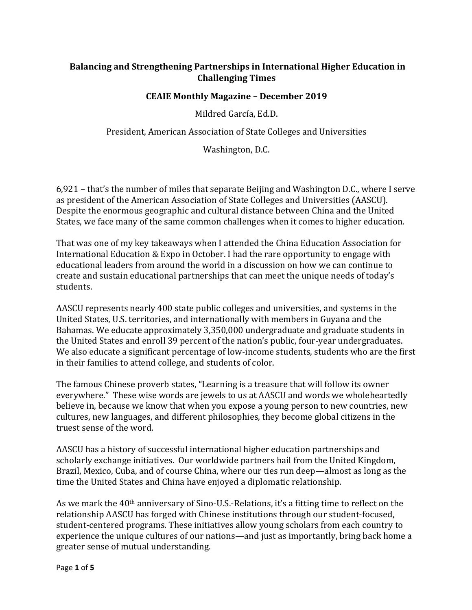# **Balancing and Strengthening Partnerships in International Higher Education in Challenging Times**

#### **CEAIE Monthly Magazine - December 2019**

Mildred García, Ed.D.

President, American Association of State Colleges and Universities

Washington, D.C.

6,921 - that's the number of miles that separate Beijing and Washington D.C., where I serve as president of the American Association of State Colleges and Universities (AASCU). Despite the enormous geographic and cultural distance between China and the United States, we face many of the same common challenges when it comes to higher education.

That was one of my key takeaways when I attended the China Education Association for International Education & Expo in October. I had the rare opportunity to engage with educational leaders from around the world in a discussion on how we can continue to create and sustain educational partnerships that can meet the unique needs of today's students. 

AASCU represents nearly 400 state public colleges and universities, and systems in the United States, U.S. territories, and internationally with members in Guyana and the Bahamas. We educate approximately 3,350,000 undergraduate and graduate students in the United States and enroll 39 percent of the nation's public, four-year undergraduates. We also educate a significant percentage of low-income students, students who are the first in their families to attend college, and students of color.

The famous Chinese proverb states, "Learning is a treasure that will follow its owner everywhere." These wise words are jewels to us at AASCU and words we wholeheartedly believe in, because we know that when you expose a young person to new countries, new cultures, new languages, and different philosophies, they become global citizens in the truest sense of the word.

AASCU has a history of successful international higher education partnerships and scholarly exchange initiatives. Our worldwide partners hail from the United Kingdom, Brazil, Mexico, Cuba, and of course China, where our ties run deep—almost as long as the time the United States and China have enjoyed a diplomatic relationship.

As we mark the 40<sup>th</sup> anniversary of Sino-U.S.-Relations, it's a fitting time to reflect on the relationship AASCU has forged with Chinese institutions through our student-focused, student-centered programs. These initiatives allow young scholars from each country to experience the unique cultures of our nations—and just as importantly, bring back home a greater sense of mutual understanding.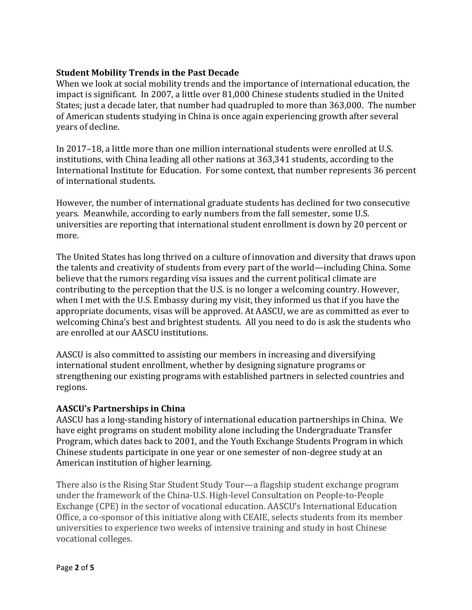#### **Student Mobility Trends in the Past Decade**

When we look at social mobility trends and the importance of international education, the impact is significant. In 2007, a little over 81,000 Chinese students studied in the United States; just a decade later, that number had quadrupled to more than 363,000. The number of American students studying in China is once again experiencing growth after several years of decline.

In 2017-18, a little more than one million international students were enrolled at U.S. institutions, with China leading all other nations at 363,341 students, according to the International Institute for Education. For some context, that number represents 36 percent of international students.

However, the number of international graduate students has declined for two consecutive years. Meanwhile, according to early numbers from the fall semester, some U.S. universities are reporting that international student enrollment is down by 20 percent or more. 

The United States has long thrived on a culture of innovation and diversity that draws upon the talents and creativity of students from every part of the world—including China. Some believe that the rumors regarding visa issues and the current political climate are contributing to the perception that the U.S. is no longer a welcoming country. However, when I met with the U.S. Embassy during my visit, they informed us that if you have the appropriate documents, visas will be approved. At AASCU, we are as committed as ever to welcoming China's best and brightest students. All you need to do is ask the students who are enrolled at our AASCU institutions.

AASCU is also committed to assisting our members in increasing and diversifying international student enrollment, whether by designing signature programs or strengthening our existing programs with established partners in selected countries and regions. 

### **AASCU's Partnerships in China**

AASCU has a long-standing history of international education partnerships in China. We have eight programs on student mobility alone including the Undergraduate Transfer Program, which dates back to 2001, and the Youth Exchange Students Program in which Chinese students participate in one year or one semester of non-degree study at an American institution of higher learning.

There also is the Rising Star Student Study Tour—a flagship student exchange program under the framework of the China-U.S. High-level Consultation on People-to-People Exchange (CPE) in the sector of vocational education. AASCU's International Education Office, a co-sponsor of this initiative along with CEAIE, selects students from its member universities to experience two weeks of intensive training and study in host Chinese vocational colleges.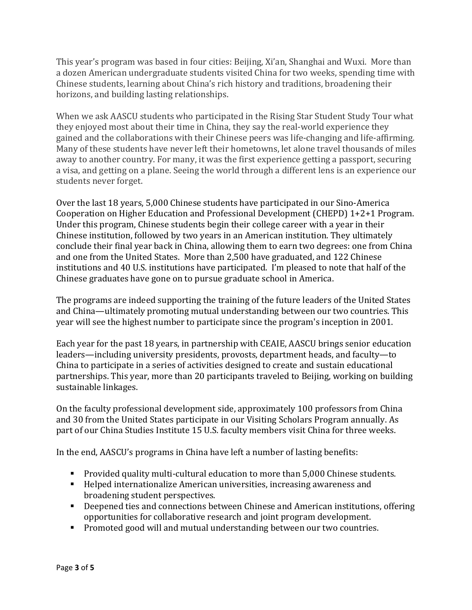This year's program was based in four cities: Beijing, Xi'an, Shanghai and Wuxi. More than a dozen American undergraduate students visited China for two weeks, spending time with Chinese students, learning about China's rich history and traditions, broadening their horizons, and building lasting relationships.

When we ask AASCU students who participated in the Rising Star Student Study Tour what they enjoyed most about their time in China, they say the real-world experience they gained and the collaborations with their Chinese peers was life-changing and life-affirming. Many of these students have never left their hometowns, let alone travel thousands of miles away to another country. For many, it was the first experience getting a passport, securing a visa, and getting on a plane. Seeing the world through a different lens is an experience our students never forget.

Over the last 18 years, 5,000 Chinese students have participated in our Sino-America Cooperation on Higher Education and Professional Development (CHEPD) 1+2+1 Program. Under this program, Chinese students begin their college career with a year in their Chinese institution, followed by two years in an American institution. They ultimately conclude their final year back in China, allowing them to earn two degrees: one from China and one from the United States. More than 2,500 have graduated, and 122 Chinese institutions and 40 U.S. institutions have participated. I'm pleased to note that half of the Chinese graduates have gone on to pursue graduate school in America.

The programs are indeed supporting the training of the future leaders of the United States and China—ultimately promoting mutual understanding between our two countries. This year will see the highest number to participate since the program's inception in 2001.

Each year for the past 18 years, in partnership with CEAIE, AASCU brings senior education leaders—including university presidents, provosts, department heads, and faculty—to China to participate in a series of activities designed to create and sustain educational partnerships. This year, more than 20 participants traveled to Beijing, working on building sustainable linkages.

On the faculty professional development side, approximately 100 professors from China and 30 from the United States participate in our Visiting Scholars Program annually. As part of our China Studies Institute 15 U.S. faculty members visit China for three weeks.

In the end, AASCU's programs in China have left a number of lasting benefits:

- **•** Provided quality multi-cultural education to more than 5,000 Chinese students.
- $\blacksquare$  Helped internationalize American universities, increasing awareness and broadening student perspectives.
- Deepened ties and connections between Chinese and American institutions, offering opportunities for collaborative research and joint program development.
- Promoted good will and mutual understanding between our two countries.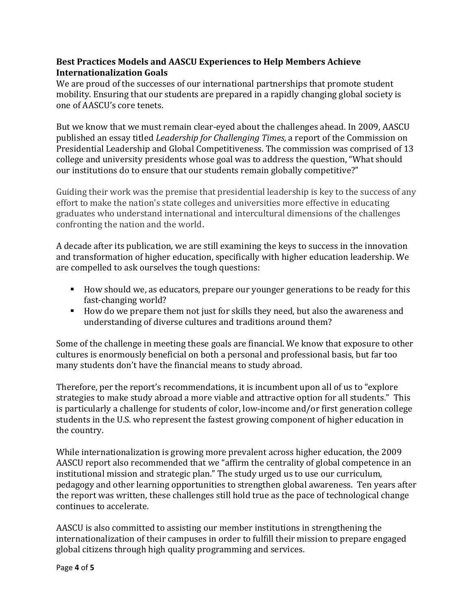## Best Practices Models and AASCU Experiences to Help Members Achieve **Internationalization Goals**

We are proud of the successes of our international partnerships that promote student mobility. Ensuring that our students are prepared in a rapidly changing global society is one of AASCU's core tenets.

But we know that we must remain clear-eyed about the challenges ahead. In 2009, AASCU published an essay titled *Leadership for Challenging Times*, a report of the Commission on Presidential Leadership and Global Competitiveness. The commission was comprised of 13 college and university presidents whose goal was to address the question, "What should our institutions do to ensure that our students remain globally competitive?"

Guiding their work was the premise that presidential leadership is key to the success of any effort to make the nation's state colleges and universities more effective in educating graduates who understand international and intercultural dimensions of the challenges confronting the nation and the world.

A decade after its publication, we are still examining the keys to success in the innovation and transformation of higher education, specifically with higher education leadership. We are compelled to ask ourselves the tough questions:

- How should we, as educators, prepare our younger generations to be ready for this fast-changing world?
- How do we prepare them not just for skills they need, but also the awareness and understanding of diverse cultures and traditions around them?

Some of the challenge in meeting these goals are financial. We know that exposure to other cultures is enormously beneficial on both a personal and professional basis, but far too many students don't have the financial means to study abroad.

Therefore, per the report's recommendations, it is incumbent upon all of us to "explore" strategies to make study abroad a more viable and attractive option for all students." This is particularly a challenge for students of color, low-income and/or first generation college students in the U.S. who represent the fastest growing component of higher education in the country.

While internationalization is growing more prevalent across higher education, the 2009 AASCU report also recommended that we "affirm the centrality of global competence in an institutional mission and strategic plan." The study urged us to use our curriculum, pedagogy and other learning opportunities to strengthen global awareness. Ten years after the report was written, these challenges still hold true as the pace of technological change continues to accelerate.

AASCU is also committed to assisting our member institutions in strengthening the internationalization of their campuses in order to fulfill their mission to prepare engaged global citizens through high quality programming and services.